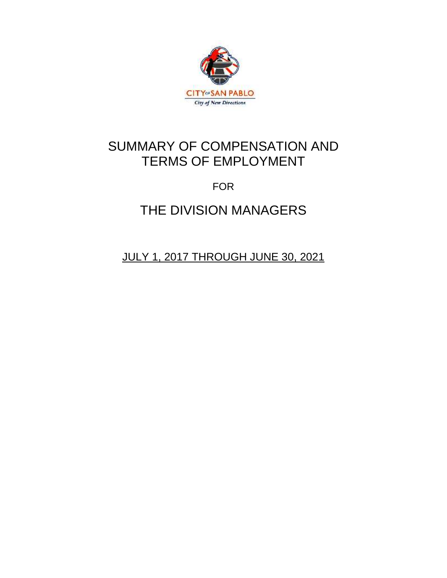

# SUMMARY OF COMPENSATION AND TERMS OF EMPLOYMENT

# FOR

# THE DIVISION MANAGERS

JULY 1, 2017 THROUGH JUNE 30, 2021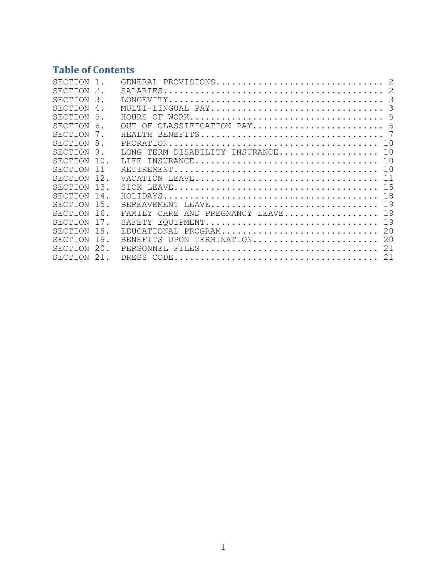# **Table of Contents**

| SECTION |                |                                                                                                                           |
|---------|----------------|---------------------------------------------------------------------------------------------------------------------------|
| SECTION |                | $\texttt{SALARIES} \dots \dots \dots \dots \dots \dots \dots \dots \dots \dots \dots \dots \dots \dots \dots \dots \dots$ |
| SECTION | 3              |                                                                                                                           |
| SECTION | $\overline{4}$ | -3<br>MULTI-LINGUAL PAY                                                                                                   |
| SECTION | 5              | HOURS OF                                                                                                                  |
| SECTION | 6 <sub>1</sub> | OUT OF CLASSIFICATION PAY 6                                                                                               |
| SECTION |                | HEALTH                                                                                                                    |
| SECTION | 8              | 1 O                                                                                                                       |
| SECTION | 9.             | TERM DISABILITY INSURANCE<br>1 O<br>LONG.                                                                                 |
| SECTION | 10.            | 1 <sub>0</sub><br>INSURANCE<br>LIFE.                                                                                      |
| SECTION | 11             | 1 N                                                                                                                       |
| SECTION | 12.            | 11                                                                                                                        |
| SECTION | 13.            | 1.5                                                                                                                       |
| SECTION | 14.            | 18                                                                                                                        |
| SECTION | 15.            | 19<br>BEREAVEMENT LEAVE                                                                                                   |
| SECTION | 16.            | 19<br>FAMILY CARE AND PREGNANCY LEAVE                                                                                     |
| SECTION | 17.            | 19<br>SAFETY EQUIPMENT                                                                                                    |
| SECTION | 18.            | 20<br>EDUCATIONAL PROGRAM                                                                                                 |
| SECTION | 19             | 20<br>BENEFITS UPON TERMINATION                                                                                           |
| SECTION | 20.            | 21<br>PERSONNEL FILES                                                                                                     |
| SECTION | 21.            | 21                                                                                                                        |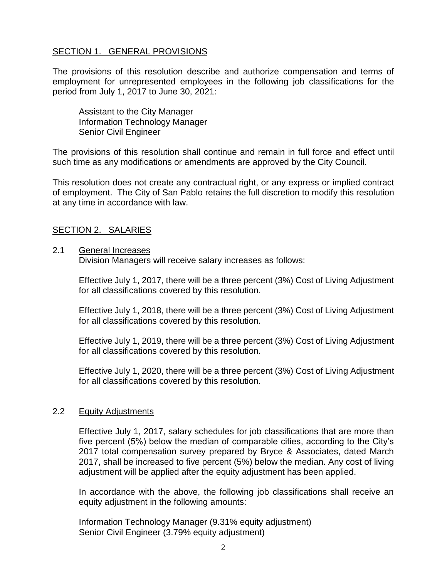# <span id="page-3-0"></span>SECTION 1. GENERAL PROVISIONS

The provisions of this resolution describe and authorize compensation and terms of employment for unrepresented employees in the following job classifications for the period from July 1, 2017 to June 30, 2021:

Assistant to the City Manager Information Technology Manager Senior Civil Engineer

The provisions of this resolution shall continue and remain in full force and effect until such time as any modifications or amendments are approved by the City Council.

This resolution does not create any contractual right, or any express or implied contract of employment. The City of San Pablo retains the full discretion to modify this resolution at any time in accordance with law.

# <span id="page-3-1"></span>SECTION 2. SALARIES

#### 2.1 General Increases

Division Managers will receive salary increases as follows:

Effective July 1, 2017, there will be a three percent (3%) Cost of Living Adjustment for all classifications covered by this resolution.

Effective July 1, 2018, there will be a three percent (3%) Cost of Living Adjustment for all classifications covered by this resolution.

Effective July 1, 2019, there will be a three percent (3%) Cost of Living Adjustment for all classifications covered by this resolution.

Effective July 1, 2020, there will be a three percent (3%) Cost of Living Adjustment for all classifications covered by this resolution.

#### 2.2 Equity Adjustments

Effective July 1, 2017, salary schedules for job classifications that are more than five percent (5%) below the median of comparable cities, according to the City's 2017 total compensation survey prepared by Bryce & Associates, dated March 2017, shall be increased to five percent (5%) below the median. Any cost of living adjustment will be applied after the equity adjustment has been applied.

In accordance with the above, the following job classifications shall receive an equity adjustment in the following amounts:

Information Technology Manager (9.31% equity adjustment) Senior Civil Engineer (3.79% equity adjustment)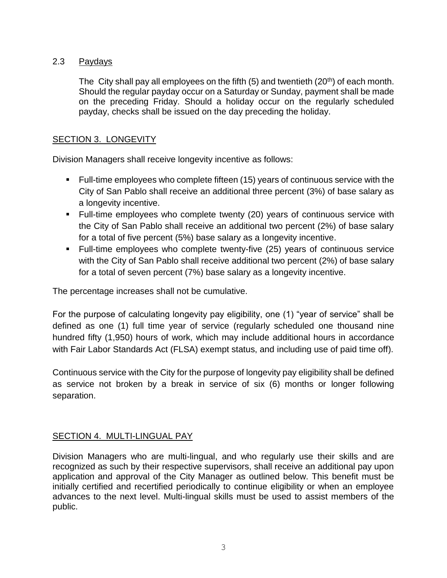# 2.3 Paydays

The City shall pay all employees on the fifth  $(5)$  and twentieth  $(20<sup>th</sup>)$  of each month. Should the regular payday occur on a Saturday or Sunday, payment shall be made on the preceding Friday. Should a holiday occur on the regularly scheduled payday, checks shall be issued on the day preceding the holiday.

#### <span id="page-4-0"></span>SECTION 3. LONGEVITY

Division Managers shall receive longevity incentive as follows:

- Full-time employees who complete fifteen (15) years of continuous service with the City of San Pablo shall receive an additional three percent (3%) of base salary as a longevity incentive.
- Full-time employees who complete twenty (20) years of continuous service with the City of San Pablo shall receive an additional two percent (2%) of base salary for a total of five percent (5%) base salary as a longevity incentive.
- Full-time employees who complete twenty-five (25) years of continuous service with the City of San Pablo shall receive additional two percent (2%) of base salary for a total of seven percent (7%) base salary as a longevity incentive.

The percentage increases shall not be cumulative.

For the purpose of calculating longevity pay eligibility, one (1) "year of service" shall be defined as one (1) full time year of service (regularly scheduled one thousand nine hundred fifty (1,950) hours of work, which may include additional hours in accordance with Fair Labor Standards Act (FLSA) exempt status, and including use of paid time off).

Continuous service with the City for the purpose of longevity pay eligibility shall be defined as service not broken by a break in service of six (6) months or longer following separation.

# <span id="page-4-1"></span>SECTION 4. MULTI-LINGUAL PAY

Division Managers who are multi-lingual, and who regularly use their skills and are recognized as such by their respective supervisors, shall receive an additional pay upon application and approval of the City Manager as outlined below. This benefit must be initially certified and recertified periodically to continue eligibility or when an employee advances to the next level. Multi-lingual skills must be used to assist members of the public.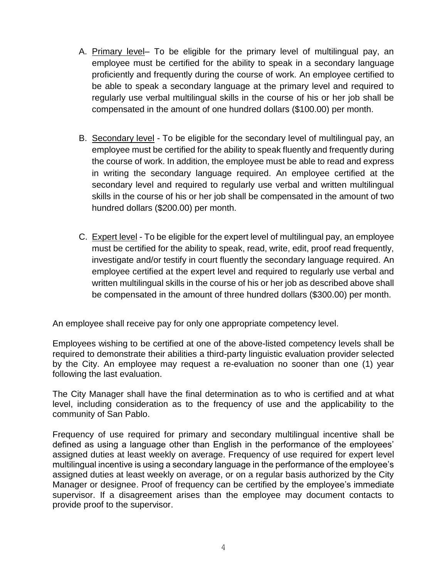- A. Primary level– To be eligible for the primary level of multilingual pay, an employee must be certified for the ability to speak in a secondary language proficiently and frequently during the course of work. An employee certified to be able to speak a secondary language at the primary level and required to regularly use verbal multilingual skills in the course of his or her job shall be compensated in the amount of one hundred dollars (\$100.00) per month.
- B. Secondary level To be eligible for the secondary level of multilingual pay, an employee must be certified for the ability to speak fluently and frequently during the course of work. In addition, the employee must be able to read and express in writing the secondary language required. An employee certified at the secondary level and required to regularly use verbal and written multilingual skills in the course of his or her job shall be compensated in the amount of two hundred dollars (\$200.00) per month.
- C. Expert level To be eligible for the expert level of multilingual pay, an employee must be certified for the ability to speak, read, write, edit, proof read frequently, investigate and/or testify in court fluently the secondary language required. An employee certified at the expert level and required to regularly use verbal and written multilingual skills in the course of his or her job as described above shall be compensated in the amount of three hundred dollars (\$300.00) per month.

An employee shall receive pay for only one appropriate competency level.

Employees wishing to be certified at one of the above-listed competency levels shall be required to demonstrate their abilities a third-party linguistic evaluation provider selected by the City. An employee may request a re-evaluation no sooner than one (1) year following the last evaluation.

The City Manager shall have the final determination as to who is certified and at what level, including consideration as to the frequency of use and the applicability to the community of San Pablo.

Frequency of use required for primary and secondary multilingual incentive shall be defined as using a language other than English in the performance of the employees' assigned duties at least weekly on average. Frequency of use required for expert level multilingual incentive is using a secondary language in the performance of the employee's assigned duties at least weekly on average, or on a regular basis authorized by the City Manager or designee. Proof of frequency can be certified by the employee's immediate supervisor. If a disagreement arises than the employee may document contacts to provide proof to the supervisor.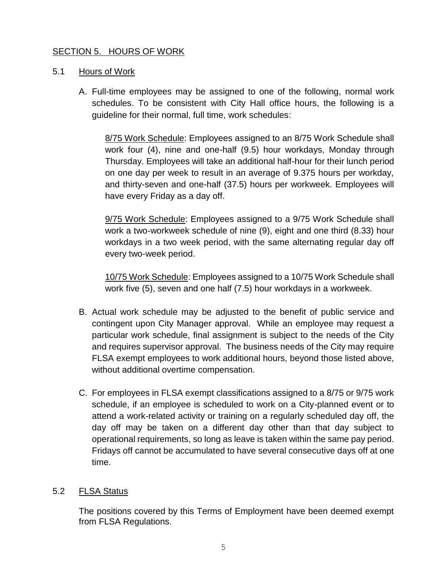# <span id="page-6-0"></span>SECTION 5. HOURS OF WORK

# 5.1 Hours of Work

A. Full-time employees may be assigned to one of the following, normal work schedules. To be consistent with City Hall office hours, the following is a guideline for their normal, full time, work schedules:

8/75 Work Schedule: Employees assigned to an 8/75 Work Schedule shall work four (4), nine and one-half (9.5) hour workdays, Monday through Thursday. Employees will take an additional half-hour for their lunch period on one day per week to result in an average of 9.375 hours per workday, and thirty-seven and one-half (37.5) hours per workweek. Employees will have every Friday as a day off.

9/75 Work Schedule: Employees assigned to a 9/75 Work Schedule shall work a two-workweek schedule of nine (9), eight and one third (8.33) hour workdays in a two week period, with the same alternating regular day off every two-week period.

10/75 Work Schedule: Employees assigned to a 10/75 Work Schedule shall work five (5), seven and one half (7.5) hour workdays in a workweek.

- B. Actual work schedule may be adjusted to the benefit of public service and contingent upon City Manager approval. While an employee may request a particular work schedule, final assignment is subject to the needs of the City and requires supervisor approval. The business needs of the City may require FLSA exempt employees to work additional hours, beyond those listed above, without additional overtime compensation.
- C. For employees in FLSA exempt classifications assigned to a 8/75 or 9/75 work schedule, if an employee is scheduled to work on a City-planned event or to attend a work-related activity or training on a regularly scheduled day off, the day off may be taken on a different day other than that day subject to operational requirements, so long as leave is taken within the same pay period. Fridays off cannot be accumulated to have several consecutive days off at one time.

#### 5.2 FLSA Status

The positions covered by this Terms of Employment have been deemed exempt from FLSA Regulations.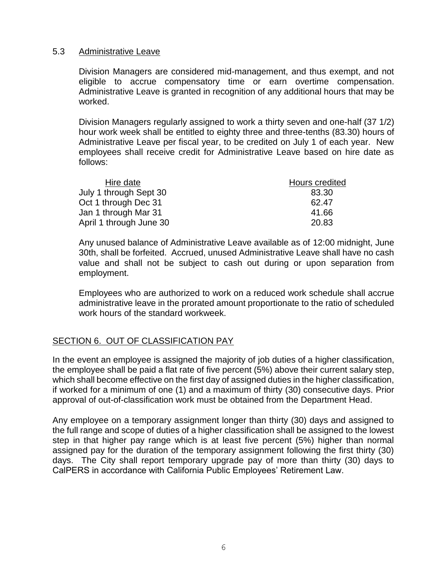#### 5.3 Administrative Leave

Division Managers are considered mid-management, and thus exempt, and not eligible to accrue compensatory time or earn overtime compensation. Administrative Leave is granted in recognition of any additional hours that may be worked.

Division Managers regularly assigned to work a thirty seven and one-half (37 1/2) hour work week shall be entitled to eighty three and three-tenths (83.30) hours of Administrative Leave per fiscal year, to be credited on July 1 of each year. New employees shall receive credit for Administrative Leave based on hire date as follows:

| Hire date               | Hours credited |  |
|-------------------------|----------------|--|
| July 1 through Sept 30  | 83.30          |  |
| Oct 1 through Dec 31    | 62.47          |  |
| Jan 1 through Mar 31    | 41.66          |  |
| April 1 through June 30 | 20.83          |  |

Any unused balance of Administrative Leave available as of 12:00 midnight, June 30th, shall be forfeited. Accrued, unused Administrative Leave shall have no cash value and shall not be subject to cash out during or upon separation from employment.

Employees who are authorized to work on a reduced work schedule shall accrue administrative leave in the prorated amount proportionate to the ratio of scheduled work hours of the standard workweek.

# <span id="page-7-0"></span>SECTION 6. OUT OF CLASSIFICATION PAY

In the event an employee is assigned the majority of job duties of a higher classification, the employee shall be paid a flat rate of five percent (5%) above their current salary step, which shall become effective on the first day of assigned duties in the higher classification, if worked for a minimum of one (1) and a maximum of thirty (30) consecutive days. Prior approval of out-of-classification work must be obtained from the Department Head.

Any employee on a temporary assignment longer than thirty (30) days and assigned to the full range and scope of duties of a higher classification shall be assigned to the lowest step in that higher pay range which is at least five percent (5%) higher than normal assigned pay for the duration of the temporary assignment following the first thirty (30) days. The City shall report temporary upgrade pay of more than thirty (30) days to CalPERS in accordance with California Public Employees' Retirement Law.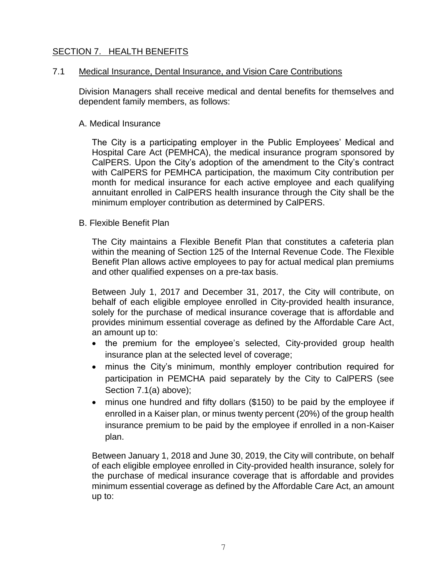# <span id="page-8-0"></span>SECTION 7. HEALTH BENEFITS

#### 7.1 Medical Insurance, Dental Insurance, and Vision Care Contributions

Division Managers shall receive medical and dental benefits for themselves and dependent family members, as follows:

#### A. Medical Insurance

The City is a participating employer in the Public Employees' Medical and Hospital Care Act (PEMHCA), the medical insurance program sponsored by CalPERS. Upon the City's adoption of the amendment to the City's contract with CalPERS for PEMHCA participation, the maximum City contribution per month for medical insurance for each active employee and each qualifying annuitant enrolled in CalPERS health insurance through the City shall be the minimum employer contribution as determined by CalPERS.

#### B. Flexible Benefit Plan

The City maintains a Flexible Benefit Plan that constitutes a cafeteria plan within the meaning of Section 125 of the Internal Revenue Code. The Flexible Benefit Plan allows active employees to pay for actual medical plan premiums and other qualified expenses on a pre-tax basis.

Between July 1, 2017 and December 31, 2017, the City will contribute, on behalf of each eligible employee enrolled in City-provided health insurance, solely for the purchase of medical insurance coverage that is affordable and provides minimum essential coverage as defined by the Affordable Care Act, an amount up to:

- the premium for the employee's selected, City-provided group health insurance plan at the selected level of coverage;
- minus the City's minimum, monthly employer contribution required for participation in PEMCHA paid separately by the City to CalPERS (see Section 7.1(a) above);
- minus one hundred and fifty dollars (\$150) to be paid by the employee if enrolled in a Kaiser plan, or minus twenty percent (20%) of the group health insurance premium to be paid by the employee if enrolled in a non-Kaiser plan.

Between January 1, 2018 and June 30, 2019, the City will contribute, on behalf of each eligible employee enrolled in City-provided health insurance, solely for the purchase of medical insurance coverage that is affordable and provides minimum essential coverage as defined by the Affordable Care Act, an amount up to: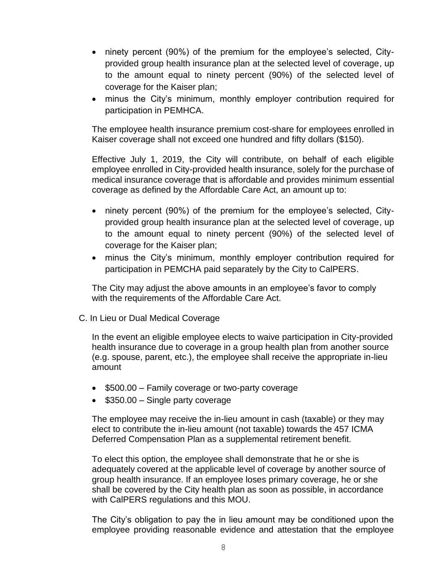- ninety percent (90%) of the premium for the employee's selected, Cityprovided group health insurance plan at the selected level of coverage, up to the amount equal to ninety percent (90%) of the selected level of coverage for the Kaiser plan;
- minus the City's minimum, monthly employer contribution required for participation in PEMHCA.

The employee health insurance premium cost-share for employees enrolled in Kaiser coverage shall not exceed one hundred and fifty dollars (\$150).

Effective July 1, 2019, the City will contribute, on behalf of each eligible employee enrolled in City-provided health insurance, solely for the purchase of medical insurance coverage that is affordable and provides minimum essential coverage as defined by the Affordable Care Act, an amount up to:

- ninety percent (90%) of the premium for the employee's selected, Cityprovided group health insurance plan at the selected level of coverage, up to the amount equal to ninety percent (90%) of the selected level of coverage for the Kaiser plan;
- minus the City's minimum, monthly employer contribution required for participation in PEMCHA paid separately by the City to CalPERS.

The City may adjust the above amounts in an employee's favor to comply with the requirements of the Affordable Care Act.

C. In Lieu or Dual Medical Coverage

In the event an eligible employee elects to waive participation in City-provided health insurance due to coverage in a group health plan from another source (e.g. spouse, parent, etc.), the employee shall receive the appropriate in-lieu amount

- \$500.00 Family coverage or two-party coverage
- \$350.00 Single party coverage

The employee may receive the in-lieu amount in cash (taxable) or they may elect to contribute the in-lieu amount (not taxable) towards the 457 ICMA Deferred Compensation Plan as a supplemental retirement benefit.

To elect this option, the employee shall demonstrate that he or she is adequately covered at the applicable level of coverage by another source of group health insurance. If an employee loses primary coverage, he or she shall be covered by the City health plan as soon as possible, in accordance with CalPERS regulations and this MOU.

The City's obligation to pay the in lieu amount may be conditioned upon the employee providing reasonable evidence and attestation that the employee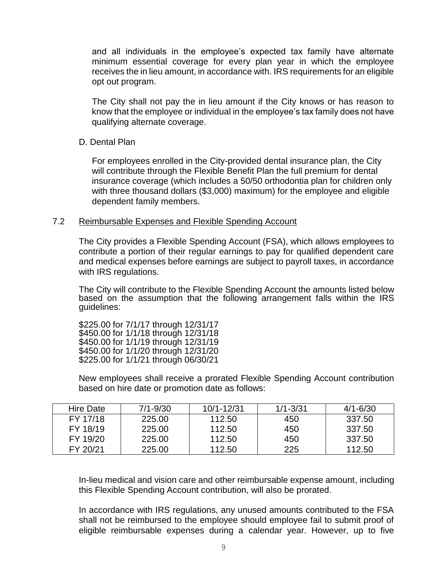and all individuals in the employee's expected tax family have alternate minimum essential coverage for every plan year in which the employee receives the in lieu amount, in accordance with. IRS requirements for an eligible opt out program.

The City shall not pay the in lieu amount if the City knows or has reason to know that the employee or individual in the employee's tax family does not have qualifying alternate coverage.

#### D. Dental Plan

For employees enrolled in the City-provided dental insurance plan, the City will contribute through the Flexible Benefit Plan the full premium for dental insurance coverage (which includes a 50/50 orthodontia plan for children only with three thousand dollars (\$3,000) maximum) for the employee and eligible dependent family members.

#### 7.2 Reimbursable Expenses and Flexible Spending Account

The City provides a Flexible Spending Account (FSA), which allows employees to contribute a portion of their regular earnings to pay for qualified dependent care and medical expenses before earnings are subject to payroll taxes, in accordance with IRS regulations.

The City will contribute to the Flexible Spending Account the amounts listed below based on the assumption that the following arrangement falls within the IRS guidelines:

\$225.00 for 7/1/17 through 12/31/17 \$450.00 for 1/1/18 through 12/31/18 \$450.00 for 1/1/19 through 12/31/19 \$450.00 for 1/1/20 through 12/31/20 \$225.00 for 1/1/21 through 06/30/21

New employees shall receive a prorated Flexible Spending Account contribution based on hire date or promotion date as follows:

| <b>Hire Date</b> | $7/1 - 9/30$ | 10/1-12/31 | $1/1 - 3/31$ | $4/1 - 6/30$ |
|------------------|--------------|------------|--------------|--------------|
| FY 17/18         | 225.00       | 112.50     | 450          | -337.50      |
| FY 18/19         | 225.00       | 112.50     | 450          | 337.50       |
| FY 19/20         | 225.00       | 112.50     | 450          | 337.50       |
| FY 20/21         | 225.00       | 112.50     | 225          | 112.50       |

In-lieu medical and vision care and other reimbursable expense amount, including this Flexible Spending Account contribution, will also be prorated.

In accordance with IRS regulations, any unused amounts contributed to the FSA shall not be reimbursed to the employee should employee fail to submit proof of eligible reimbursable expenses during a calendar year. However, up to five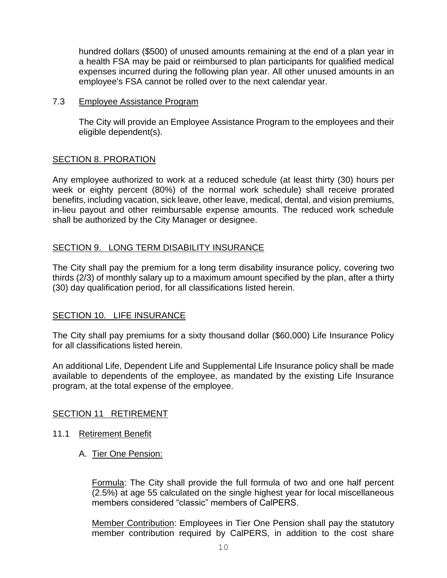hundred dollars (\$500) of unused amounts remaining at the end of a plan year in a health FSA may be paid or reimbursed to plan participants for qualified medical expenses incurred during the following plan year. All other unused amounts in an employee's FSA cannot be rolled over to the next calendar year.

#### 7.3 Employee Assistance Program

The City will provide an Employee Assistance Program to the employees and their eligible dependent(s).

# <span id="page-11-0"></span>SECTION 8. PRORATION

Any employee authorized to work at a reduced schedule (at least thirty (30) hours per week or eighty percent (80%) of the normal work schedule) shall receive prorated benefits, including vacation, sick leave, other leave, medical, dental, and vision premiums, in-lieu payout and other reimbursable expense amounts. The reduced work schedule shall be authorized by the City Manager or designee.

# <span id="page-11-1"></span>SECTION 9. LONG TERM DISABILITY INSURANCE

The City shall pay the premium for a long term disability insurance policy, covering two thirds (2/3) of monthly salary up to a maximum amount specified by the plan, after a thirty (30) day qualification period, for all classifications listed herein.

#### <span id="page-11-2"></span>SECTION 10. LIFE INSURANCE

The City shall pay premiums for a sixty thousand dollar (\$60,000) Life Insurance Policy for all classifications listed herein.

An additional Life, Dependent Life and Supplemental Life Insurance policy shall be made available to dependents of the employee, as mandated by the existing Life Insurance program, at the total expense of the employee.

#### <span id="page-11-3"></span>SECTION 11 RETIREMENT

- 11.1 Retirement Benefit
	- A. Tier One Pension:

Formula: The City shall provide the full formula of two and one half percent (2.5%) at age 55 calculated on the single highest year for local miscellaneous members considered "classic" members of CalPERS.

Member Contribution: Employees in Tier One Pension shall pay the statutory member contribution required by CalPERS, in addition to the cost share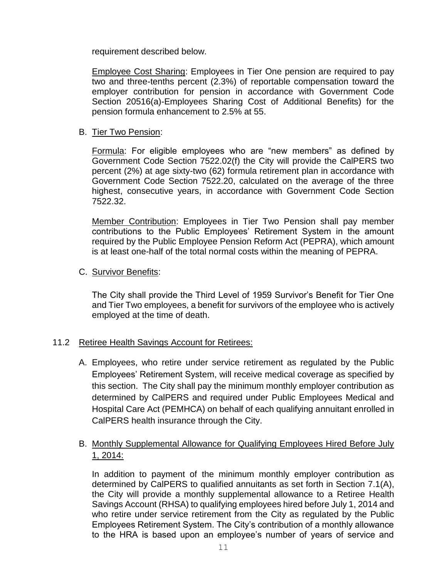requirement described below.

Employee Cost Sharing: Employees in Tier One pension are required to pay two and three-tenths percent (2.3%) of reportable compensation toward the employer contribution for pension in accordance with Government Code Section 20516(a)-Employees Sharing Cost of Additional Benefits) for the pension formula enhancement to 2.5% at 55.

#### B. Tier Two Pension:

Formula: For eligible employees who are "new members" as defined by Government Code Section 7522.02(f) the City will provide the CalPERS two percent (2%) at age sixty-two (62) formula retirement plan in accordance with Government Code Section 7522.20, calculated on the average of the three highest, consecutive years, in accordance with Government Code Section 7522.32.

Member Contribution: Employees in Tier Two Pension shall pay member contributions to the Public Employees' Retirement System in the amount required by the Public Employee Pension Reform Act (PEPRA), which amount is at least one-half of the total normal costs within the meaning of PEPRA.

#### C. Survivor Benefits:

The City shall provide the Third Level of 1959 Survivor's Benefit for Tier One and Tier Two employees, a benefit for survivors of the employee who is actively employed at the time of death.

# <span id="page-12-0"></span>11.2 Retiree Health Savings Account for Retirees:

A. Employees, who retire under service retirement as regulated by the Public Employees' Retirement System, will receive medical coverage as specified by this section. The City shall pay the minimum monthly employer contribution as determined by CalPERS and required under Public Employees Medical and Hospital Care Act (PEMHCA) on behalf of each qualifying annuitant enrolled in CalPERS health insurance through the City.

# B. Monthly Supplemental Allowance for Qualifying Employees Hired Before July 1, 2014:

In addition to payment of the minimum monthly employer contribution as determined by CalPERS to qualified annuitants as set forth in Section 7.1(A), the City will provide a monthly supplemental allowance to a Retiree Health Savings Account (RHSA) to qualifying employees hired before July 1, 2014 and who retire under service retirement from the City as regulated by the Public Employees Retirement System. The City's contribution of a monthly allowance to the HRA is based upon an employee's number of years of service and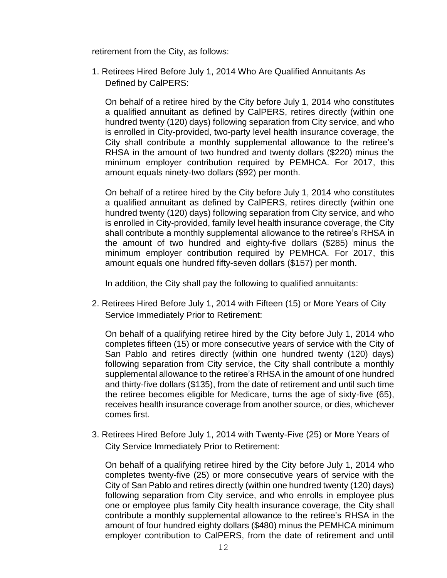retirement from the City, as follows:

1. Retirees Hired Before July 1, 2014 Who Are Qualified Annuitants As Defined by CalPERS:

On behalf of a retiree hired by the City before July 1, 2014 who constitutes a qualified annuitant as defined by CalPERS, retires directly (within one hundred twenty (120) days) following separation from City service, and who is enrolled in City-provided, two-party level health insurance coverage, the City shall contribute a monthly supplemental allowance to the retiree's RHSA in the amount of two hundred and twenty dollars (\$220) minus the minimum employer contribution required by PEMHCA. For 2017, this amount equals ninety-two dollars (\$92) per month.

On behalf of a retiree hired by the City before July 1, 2014 who constitutes a qualified annuitant as defined by CalPERS, retires directly (within one hundred twenty (120) days) following separation from City service, and who is enrolled in City-provided, family level health insurance coverage, the City shall contribute a monthly supplemental allowance to the retiree's RHSA in the amount of two hundred and eighty-five dollars (\$285) minus the minimum employer contribution required by PEMHCA. For 2017, this amount equals one hundred fifty-seven dollars (\$157) per month.

In addition, the City shall pay the following to qualified annuitants:

2. Retirees Hired Before July 1, 2014 with Fifteen (15) or More Years of City Service Immediately Prior to Retirement:

On behalf of a qualifying retiree hired by the City before July 1, 2014 who completes fifteen (15) or more consecutive years of service with the City of San Pablo and retires directly (within one hundred twenty (120) days) following separation from City service, the City shall contribute a monthly supplemental allowance to the retiree's RHSA in the amount of one hundred and thirty-five dollars (\$135), from the date of retirement and until such time the retiree becomes eligible for Medicare, turns the age of sixty-five (65), receives health insurance coverage from another source, or dies, whichever comes first.

3. Retirees Hired Before July 1, 2014 with Twenty-Five (25) or More Years of City Service Immediately Prior to Retirement:

On behalf of a qualifying retiree hired by the City before July 1, 2014 who completes twenty-five (25) or more consecutive years of service with the City of San Pablo and retires directly (within one hundred twenty (120) days) following separation from City service, and who enrolls in employee plus one or employee plus family City health insurance coverage, the City shall contribute a monthly supplemental allowance to the retiree's RHSA in the amount of four hundred eighty dollars (\$480) minus the PEMHCA minimum employer contribution to CalPERS, from the date of retirement and until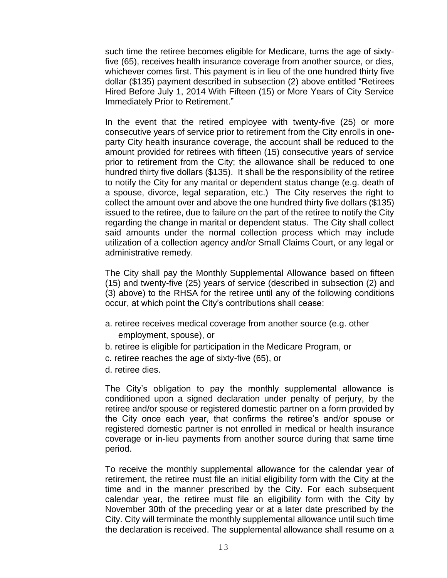such time the retiree becomes eligible for Medicare, turns the age of sixtyfive (65), receives health insurance coverage from another source, or dies, whichever comes first. This payment is in lieu of the one hundred thirty five dollar (\$135) payment described in subsection (2) above entitled "Retirees Hired Before July 1, 2014 With Fifteen (15) or More Years of City Service Immediately Prior to Retirement."

In the event that the retired employee with twenty-five (25) or more consecutive years of service prior to retirement from the City enrolls in oneparty City health insurance coverage, the account shall be reduced to the amount provided for retirees with fifteen (15) consecutive years of service prior to retirement from the City; the allowance shall be reduced to one hundred thirty five dollars (\$135). It shall be the responsibility of the retiree to notify the City for any marital or dependent status change (e.g. death of a spouse, divorce, legal separation, etc.) The City reserves the right to collect the amount over and above the one hundred thirty five dollars (\$135) issued to the retiree, due to failure on the part of the retiree to notify the City regarding the change in marital or dependent status. The City shall collect said amounts under the normal collection process which may include utilization of a collection agency and/or Small Claims Court, or any legal or administrative remedy.

The City shall pay the Monthly Supplemental Allowance based on fifteen (15) and twenty-five (25) years of service (described in subsection (2) and (3) above) to the RHSA for the retiree until any of the following conditions occur, at which point the City's contributions shall cease:

- a. retiree receives medical coverage from another source (e.g. other employment, spouse), or
- b. retiree is eligible for participation in the Medicare Program, or
- c. retiree reaches the age of sixty-five (65), or
- d. retiree dies.

The City's obligation to pay the monthly supplemental allowance is conditioned upon a signed declaration under penalty of perjury, by the retiree and/or spouse or registered domestic partner on a form provided by the City once each year, that confirms the retiree's and/or spouse or registered domestic partner is not enrolled in medical or health insurance coverage or in-lieu payments from another source during that same time period.

To receive the monthly supplemental allowance for the calendar year of retirement, the retiree must file an initial eligibility form with the City at the time and in the manner prescribed by the City. For each subsequent calendar year, the retiree must file an eligibility form with the City by November 30th of the preceding year or at a later date prescribed by the City. City will terminate the monthly supplemental allowance until such time the declaration is received. The supplemental allowance shall resume on a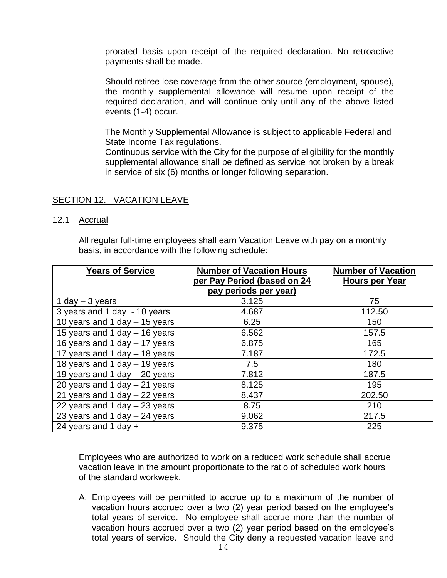prorated basis upon receipt of the required declaration. No retroactive payments shall be made.

Should retiree lose coverage from the other source (employment, spouse), the monthly supplemental allowance will resume upon receipt of the required declaration, and will continue only until any of the above listed events (1-4) occur.

The Monthly Supplemental Allowance is subject to applicable Federal and State Income Tax regulations.

Continuous service with the City for the purpose of eligibility for the monthly supplemental allowance shall be defined as service not broken by a break in service of six (6) months or longer following separation.

#### SECTION 12. VACATION LEAVE

12.1 Accrual

All regular full-time employees shall earn Vacation Leave with pay on a monthly basis, in accordance with the following schedule:

| <b>Years of Service</b>         | <b>Number of Vacation Hours</b> | <b>Number of Vacation</b> |
|---------------------------------|---------------------------------|---------------------------|
|                                 | per Pay Period (based on 24     | Hours per Year            |
|                                 | pay periods per year)           |                           |
| 1 day $-$ 3 years               | 3.125                           | 75                        |
| 3 years and 1 day - 10 years    | 4.687                           | 112.50                    |
| 10 years and 1 day $-$ 15 years | 6.25                            | 150                       |
| 15 years and 1 day - 16 years   | 6.562                           | 157.5                     |
| 16 years and 1 day - 17 years   | 6.875                           | 165                       |
| 17 years and 1 day - 18 years   | 7.187                           | 172.5                     |
| 18 years and 1 day - 19 years   | 7.5                             | 180                       |
| 19 years and 1 day $-$ 20 years | 7.812                           | 187.5                     |
| 20 years and 1 day $-$ 21 years | 8.125                           | 195                       |
| 21 years and 1 day $-$ 22 years | 8.437                           | 202.50                    |
| 22 years and 1 day $-$ 23 years | 8.75                            | 210                       |
| 23 years and 1 day $-$ 24 years | 9.062                           | 217.5                     |
| 24 years and 1 day $+$          | 9.375                           | 225                       |

Employees who are authorized to work on a reduced work schedule shall accrue vacation leave in the amount proportionate to the ratio of scheduled work hours of the standard workweek.

A. Employees will be permitted to accrue up to a maximum of the number of vacation hours accrued over a two (2) year period based on the employee's total years of service. No employee shall accrue more than the number of vacation hours accrued over a two (2) year period based on the employee's total years of service. Should the City deny a requested vacation leave and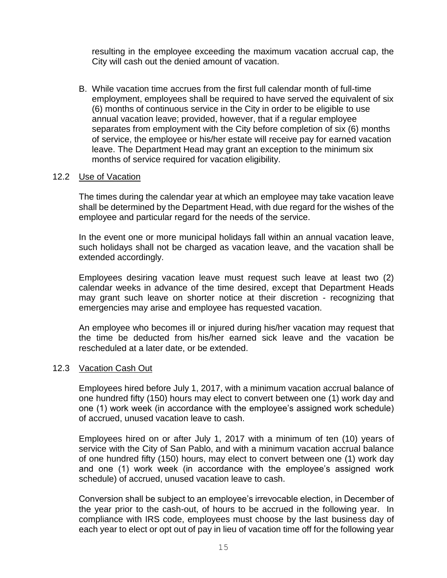resulting in the employee exceeding the maximum vacation accrual cap, the City will cash out the denied amount of vacation.

B. While vacation time accrues from the first full calendar month of full-time employment, employees shall be required to have served the equivalent of six (6) months of continuous service in the City in order to be eligible to use annual vacation leave; provided, however, that if a regular employee separates from employment with the City before completion of six (6) months of service, the employee or his/her estate will receive pay for earned vacation leave. The Department Head may grant an exception to the minimum six months of service required for vacation eligibility.

#### 12.2 Use of Vacation

The times during the calendar year at which an employee may take vacation leave shall be determined by the Department Head, with due regard for the wishes of the employee and particular regard for the needs of the service.

In the event one or more municipal holidays fall within an annual vacation leave, such holidays shall not be charged as vacation leave, and the vacation shall be extended accordingly.

Employees desiring vacation leave must request such leave at least two (2) calendar weeks in advance of the time desired, except that Department Heads may grant such leave on shorter notice at their discretion - recognizing that emergencies may arise and employee has requested vacation.

An employee who becomes ill or injured during his/her vacation may request that the time be deducted from his/her earned sick leave and the vacation be rescheduled at a later date, or be extended.

#### <span id="page-16-0"></span>12.3 Vacation Cash Out

Employees hired before July 1, 2017, with a minimum vacation accrual balance of one hundred fifty (150) hours may elect to convert between one (1) work day and one (1) work week (in accordance with the employee's assigned work schedule) of accrued, unused vacation leave to cash.

Employees hired on or after July 1, 2017 with a minimum of ten (10) years of service with the City of San Pablo, and with a minimum vacation accrual balance of one hundred fifty (150) hours, may elect to convert between one (1) work day and one (1) work week (in accordance with the employee's assigned work schedule) of accrued, unused vacation leave to cash.

Conversion shall be subject to an employee's irrevocable election, in December of the year prior to the cash-out, of hours to be accrued in the following year. In compliance with IRS code, employees must choose by the last business day of each year to elect or opt out of pay in lieu of vacation time off for the following year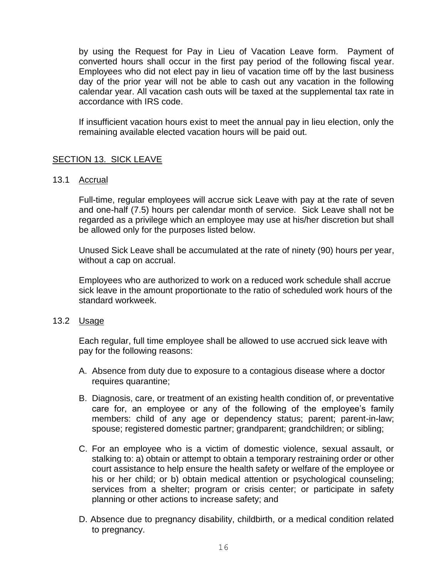by using the Request for Pay in Lieu of Vacation Leave form. Payment of converted hours shall occur in the first pay period of the following fiscal year. Employees who did not elect pay in lieu of vacation time off by the last business day of the prior year will not be able to cash out any vacation in the following calendar year. All vacation cash outs will be taxed at the supplemental tax rate in accordance with IRS code.

If insufficient vacation hours exist to meet the annual pay in lieu election, only the remaining available elected vacation hours will be paid out.

# SECTION 13. SICK LEAVE

#### 13.1 Accrual

Full-time, regular employees will accrue sick Leave with pay at the rate of seven and one-half (7.5) hours per calendar month of service. Sick Leave shall not be regarded as a privilege which an employee may use at his/her discretion but shall be allowed only for the purposes listed below.

Unused Sick Leave shall be accumulated at the rate of ninety (90) hours per year, without a cap on accrual.

Employees who are authorized to work on a reduced work schedule shall accrue sick leave in the amount proportionate to the ratio of scheduled work hours of the standard workweek.

#### 13.2 Usage

Each regular, full time employee shall be allowed to use accrued sick leave with pay for the following reasons:

- A. Absence from duty due to exposure to a contagious disease where a doctor requires quarantine;
- B. Diagnosis, care, or treatment of an existing health condition of, or preventative care for, an employee or any of the following of the employee's family members: child of any age or dependency status; parent; parent-in-law; spouse; registered domestic partner; grandparent; grandchildren; or sibling;
- C. For an employee who is a victim of domestic violence, sexual assault, or stalking to: a) obtain or attempt to obtain a temporary restraining order or other court assistance to help ensure the health safety or welfare of the employee or his or her child; or b) obtain medical attention or psychological counseling; services from a shelter; program or crisis center; or participate in safety planning or other actions to increase safety; and
- D. Absence due to pregnancy disability, childbirth, or a medical condition related to pregnancy.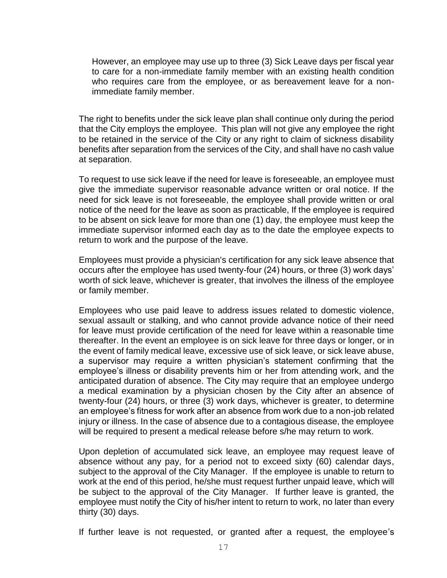However, an employee may use up to three (3) Sick Leave days per fiscal year to care for a non-immediate family member with an existing health condition who requires care from the employee, or as bereavement leave for a nonimmediate family member.

The right to benefits under the sick leave plan shall continue only during the period that the City employs the employee. This plan will not give any employee the right to be retained in the service of the City or any right to claim of sickness disability benefits after separation from the services of the City, and shall have no cash value at separation.

To request to use sick leave if the need for leave is foreseeable, an employee must give the immediate supervisor reasonable advance written or oral notice. If the need for sick leave is not foreseeable, the employee shall provide written or oral notice of the need for the leave as soon as practicable, If the employee is required to be absent on sick leave for more than one (1) day, the employee must keep the immediate supervisor informed each day as to the date the employee expects to return to work and the purpose of the leave.

Employees must provide a physician's certification for any sick leave absence that occurs after the employee has used twenty-four (24) hours, or three (3) work days' worth of sick leave, whichever is greater, that involves the illness of the employee or family member.

Employees who use paid leave to address issues related to domestic violence, sexual assault or stalking, and who cannot provide advance notice of their need for leave must provide certification of the need for leave within a reasonable time thereafter. In the event an employee is on sick leave for three days or longer, or in the event of family medical leave, excessive use of sick leave, or sick leave abuse, a supervisor may require a written physician's statement confirming that the employee's illness or disability prevents him or her from attending work, and the anticipated duration of absence. The City may require that an employee undergo a medical examination by a physician chosen by the City after an absence of twenty-four (24) hours, or three (3) work days, whichever is greater, to determine an employee's fitness for work after an absence from work due to a non-job related injury or illness. In the case of absence due to a contagious disease, the employee will be required to present a medical release before s/he may return to work.

Upon depletion of accumulated sick leave, an employee may request leave of absence without any pay, for a period not to exceed sixty (60) calendar days, subject to the approval of the City Manager. If the employee is unable to return to work at the end of this period, he/she must request further unpaid leave, which will be subject to the approval of the City Manager. If further leave is granted, the employee must notify the City of his/her intent to return to work, no later than every thirty (30) days.

If further leave is not requested, or granted after a request, the employee's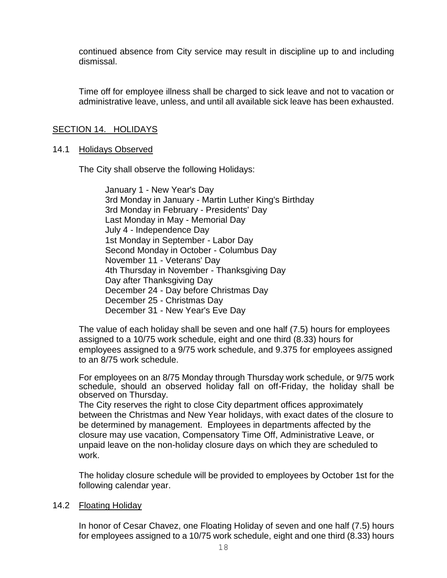continued absence from City service may result in discipline up to and including dismissal.

Time off for employee illness shall be charged to sick leave and not to vacation or administrative leave, unless, and until all available sick leave has been exhausted.

#### <span id="page-19-0"></span>SECTION 14. HOLIDAYS

#### 14.1 Holidays Observed

The City shall observe the following Holidays:

January 1 - New Year's Day 3rd Monday in January - Martin Luther King's Birthday 3rd Monday in February - Presidents' Day Last Monday in May - Memorial Day July 4 - Independence Day 1st Monday in September - Labor Day Second Monday in October - Columbus Day November 11 - Veterans' Day 4th Thursday in November - Thanksgiving Day Day after Thanksgiving Day December 24 - Day before Christmas Day December 25 - Christmas Day December 31 - New Year's Eve Day

The value of each holiday shall be seven and one half (7.5) hours for employees assigned to a 10/75 work schedule, eight and one third (8.33) hours for employees assigned to a 9/75 work schedule, and 9.375 for employees assigned to an 8/75 work schedule.

For employees on an 8/75 Monday through Thursday work schedule, or 9/75 work schedule, should an observed holiday fall on off-Friday, the holiday shall be observed on Thursday.

The City reserves the right to close City department offices approximately between the Christmas and New Year holidays, with exact dates of the closure to be determined by management. Employees in departments affected by the closure may use vacation, Compensatory Time Off, Administrative Leave, or unpaid leave on the non-holiday closure days on which they are scheduled to work.

The holiday closure schedule will be provided to employees by October 1st for the following calendar year.

#### 14.2 Floating Holiday

In honor of Cesar Chavez, one Floating Holiday of seven and one half (7.5) hours for employees assigned to a 10/75 work schedule, eight and one third (8.33) hours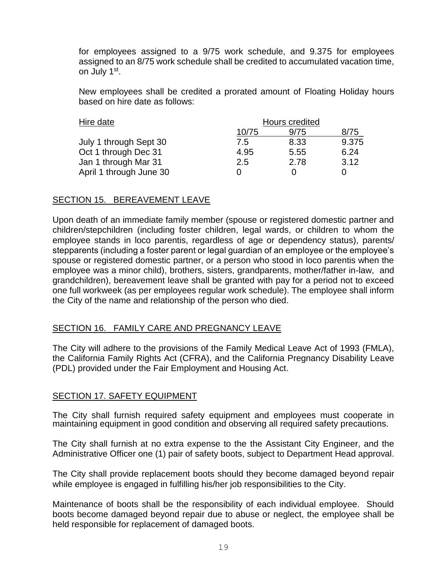for employees assigned to a 9/75 work schedule, and 9.375 for employees assigned to an 8/75 work schedule shall be credited to accumulated vacation time, on July 1<sup>st</sup>.

New employees shall be credited a prorated amount of Floating Holiday hours based on hire date as follows:

| Hire date               | Hours credited |      |       |
|-------------------------|----------------|------|-------|
|                         | 10/75          | 9/75 | 8/75  |
| July 1 through Sept 30  | 7.5            | 8.33 | 9.375 |
| Oct 1 through Dec 31    | 4.95           | 5.55 | 6.24  |
| Jan 1 through Mar 31    | 2.5            | 2.78 | 3.12  |
| April 1 through June 30 |                |      |       |

# <span id="page-20-0"></span>SECTION 15. BEREAVEMENT LEAVE

Upon death of an immediate family member (spouse or registered domestic partner and children/stepchildren (including foster children, legal wards, or children to whom the employee stands in loco parentis, regardless of age or dependency status), parents/ stepparents (including a foster parent or legal guardian of an employee or the employee's spouse or registered domestic partner, or a person who stood in loco parentis when the employee was a minor child), brothers, sisters, grandparents, mother/father in-law, and grandchildren), bereavement leave shall be granted with pay for a period not to exceed one full workweek (as per employees regular work schedule). The employee shall inform the City of the name and relationship of the person who died.

# <span id="page-20-1"></span>SECTION 16. FAMILY CARE AND PREGNANCY LEAVE

The City will adhere to the provisions of the Family Medical Leave Act of 1993 (FMLA), the California Family Rights Act (CFRA), and the California Pregnancy Disability Leave (PDL) provided under the Fair Employment and Housing Act.

#### <span id="page-20-2"></span>SECTION 17. SAFETY EQUIPMENT

The City shall furnish required safety equipment and employees must cooperate in maintaining equipment in good condition and observing all required safety precautions.

The City shall furnish at no extra expense to the the Assistant City Engineer, and the Administrative Officer one (1) pair of safety boots, subject to Department Head approval.

The City shall provide replacement boots should they become damaged beyond repair while employee is engaged in fulfilling his/her job responsibilities to the City.

Maintenance of boots shall be the responsibility of each individual employee. Should boots become damaged beyond repair due to abuse or neglect, the employee shall be held responsible for replacement of damaged boots.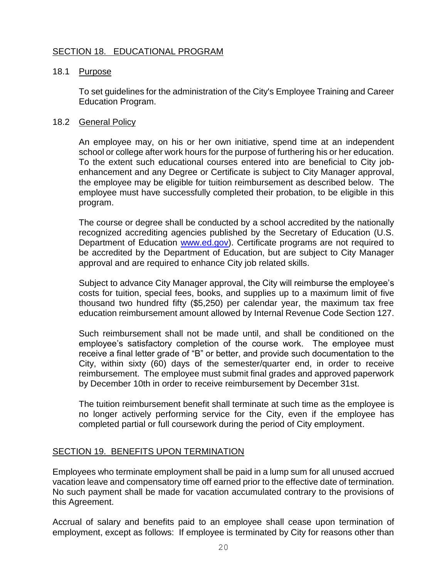# <span id="page-21-0"></span>SECTION 18. EDUCATIONAL PROGRAM

#### 18.1 Purpose

To set guidelines for the administration of the City's Employee Training and Career Education Program.

#### 18.2 General Policy

An employee may, on his or her own initiative, spend time at an independent school or college after work hours for the purpose of furthering his or her education. To the extent such educational courses entered into are beneficial to City jobenhancement and any Degree or Certificate is subject to City Manager approval, the employee may be eligible for tuition reimbursement as described below. The employee must have successfully completed their probation, to be eligible in this program.

The course or degree shall be conducted by a school accredited by the nationally recognized accrediting agencies published by the Secretary of Education (U.S. Department of Education [www.ed.gov\)](http://www.ed.gov/). Certificate programs are not required to be accredited by the Department of Education, but are subject to City Manager approval and are required to enhance City job related skills.

Subject to advance City Manager approval, the City will reimburse the employee's costs for tuition, special fees, books, and supplies up to a maximum limit of five thousand two hundred fifty (\$5,250) per calendar year, the maximum tax free education reimbursement amount allowed by Internal Revenue Code Section 127.

Such reimbursement shall not be made until, and shall be conditioned on the employee's satisfactory completion of the course work. The employee must receive a final letter grade of "B" or better, and provide such documentation to the City, within sixty (60) days of the semester/quarter end, in order to receive reimbursement. The employee must submit final grades and approved paperwork by December 10th in order to receive reimbursement by December 31st.

The tuition reimbursement benefit shall terminate at such time as the employee is no longer actively performing service for the City, even if the employee has completed partial or full coursework during the period of City employment.

#### <span id="page-21-1"></span>SECTION 19. BENEFITS UPON TERMINATION

Employees who terminate employment shall be paid in a lump sum for all unused accrued vacation leave and compensatory time off earned prior to the effective date of termination. No such payment shall be made for vacation accumulated contrary to the provisions of this Agreement.

Accrual of salary and benefits paid to an employee shall cease upon termination of employment, except as follows: If employee is terminated by City for reasons other than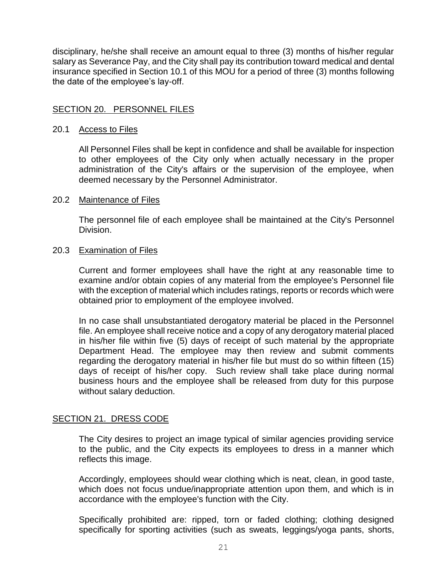disciplinary, he/she shall receive an amount equal to three (3) months of his/her regular salary as Severance Pay, and the City shall pay its contribution toward medical and dental insurance specified in Section 10.1 of this MOU for a period of three (3) months following the date of the employee's lay-off.

#### <span id="page-22-0"></span>SECTION 20. PERSONNEL FILES

#### 20.1 Access to Files

All Personnel Files shall be kept in confidence and shall be available for inspection to other employees of the City only when actually necessary in the proper administration of the City's affairs or the supervision of the employee, when deemed necessary by the Personnel Administrator.

#### 20.2 Maintenance of Files

The personnel file of each employee shall be maintained at the City's Personnel Division.

#### 20.3 Examination of Files

Current and former employees shall have the right at any reasonable time to examine and/or obtain copies of any material from the employee's Personnel file with the exception of material which includes ratings, reports or records which were obtained prior to employment of the employee involved.

In no case shall unsubstantiated derogatory material be placed in the Personnel file. An employee shall receive notice and a copy of any derogatory material placed in his/her file within five (5) days of receipt of such material by the appropriate Department Head. The employee may then review and submit comments regarding the derogatory material in his/her file but must do so within fifteen (15) days of receipt of his/her copy. Such review shall take place during normal business hours and the employee shall be released from duty for this purpose without salary deduction.

#### <span id="page-22-1"></span>SECTION 21. DRESS CODE

The City desires to project an image typical of similar agencies providing service to the public, and the City expects its employees to dress in a manner which reflects this image.

Accordingly, employees should wear clothing which is neat, clean, in good taste, which does not focus undue/inappropriate attention upon them, and which is in accordance with the employee's function with the City.

Specifically prohibited are: ripped, torn or faded clothing; clothing designed specifically for sporting activities (such as sweats, leggings/yoga pants, shorts,